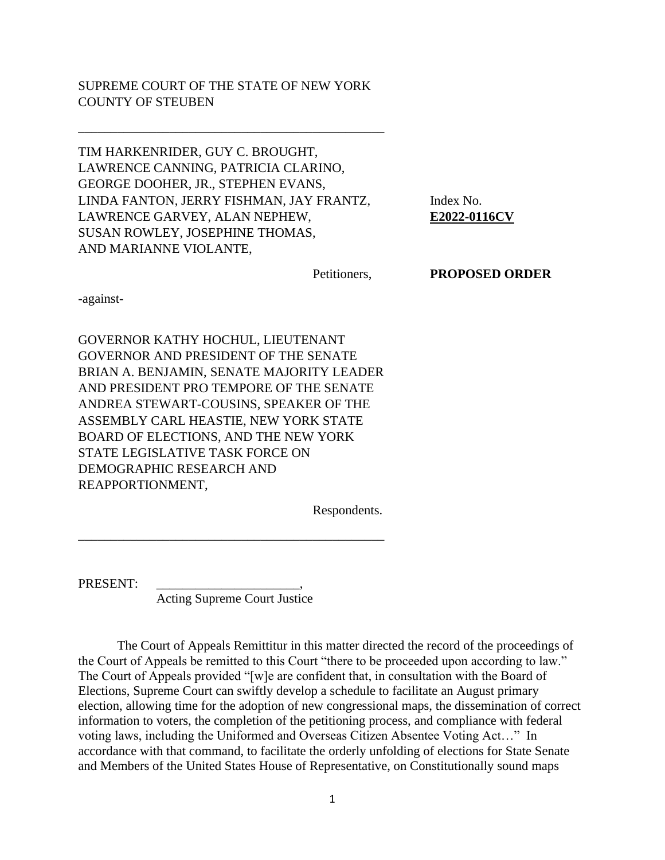## SUPREME COURT OF THE STATE OF NEW YORK COUNTY OF STEUBEN

\_\_\_\_\_\_\_\_\_\_\_\_\_\_\_\_\_\_\_\_\_\_\_\_\_\_\_\_\_\_\_\_\_\_\_\_\_\_\_\_\_\_\_\_\_\_\_

TIM HARKENRIDER, GUY C. BROUGHT, LAWRENCE CANNING, PATRICIA CLARINO, GEORGE DOOHER, JR., STEPHEN EVANS, LINDA FANTON, JERRY FISHMAN, JAY FRANTZ, Index No. LAWRENCE GARVEY, ALAN NEPHEW, **E2022-0116CV** SUSAN ROWLEY, JOSEPHINE THOMAS, AND MARIANNE VIOLANTE,

Petitioners, **PROPOSED ORDER**

-against-

GOVERNOR KATHY HOCHUL, LIEUTENANT GOVERNOR AND PRESIDENT OF THE SENATE BRIAN A. BENJAMIN, SENATE MAJORITY LEADER AND PRESIDENT PRO TEMPORE OF THE SENATE ANDREA STEWART-COUSINS, SPEAKER OF THE ASSEMBLY CARL HEASTIE, NEW YORK STATE BOARD OF ELECTIONS, AND THE NEW YORK STATE LEGISLATIVE TASK FORCE ON DEMOGRAPHIC RESEARCH AND REAPPORTIONMENT,

Respondents.

PRESENT:

Acting Supreme Court Justice

\_\_\_\_\_\_\_\_\_\_\_\_\_\_\_\_\_\_\_\_\_\_\_\_\_\_\_\_\_\_\_\_\_\_\_\_\_\_\_\_\_\_\_\_\_\_\_

The Court of Appeals Remittitur in this matter directed the record of the proceedings of the Court of Appeals be remitted to this Court "there to be proceeded upon according to law." The Court of Appeals provided "[w]e are confident that, in consultation with the Board of Elections, Supreme Court can swiftly develop a schedule to facilitate an August primary election, allowing time for the adoption of new congressional maps, the dissemination of correct information to voters, the completion of the petitioning process, and compliance with federal voting laws, including the Uniformed and Overseas Citizen Absentee Voting Act…" In accordance with that command, to facilitate the orderly unfolding of elections for State Senate and Members of the United States House of Representative, on Constitutionally sound maps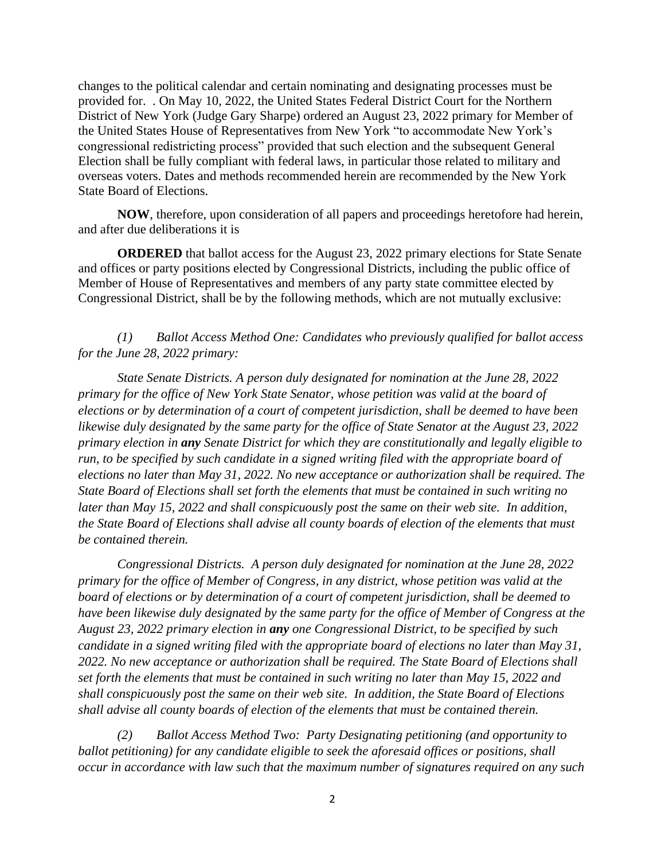changes to the political calendar and certain nominating and designating processes must be provided for. . On May 10, 2022, the United States Federal District Court for the Northern District of New York (Judge Gary Sharpe) ordered an August 23, 2022 primary for Member of the United States House of Representatives from New York "to accommodate New York's congressional redistricting process" provided that such election and the subsequent General Election shall be fully compliant with federal laws, in particular those related to military and overseas voters. Dates and methods recommended herein are recommended by the New York State Board of Elections.

**NOW**, therefore, upon consideration of all papers and proceedings heretofore had herein, and after due deliberations it is

**ORDERED** that ballot access for the August 23, 2022 primary elections for State Senate and offices or party positions elected by Congressional Districts, including the public office of Member of House of Representatives and members of any party state committee elected by Congressional District, shall be by the following methods, which are not mutually exclusive:

## *(1) Ballot Access Method One: Candidates who previously qualified for ballot access for the June 28, 2022 primary:*

*State Senate Districts. A person duly designated for nomination at the June 28, 2022 primary for the office of New York State Senator, whose petition was valid at the board of elections or by determination of a court of competent jurisdiction, shall be deemed to have been likewise duly designated by the same party for the office of State Senator at the August 23, 2022 primary election in any Senate District for which they are constitutionally and legally eligible to run, to be specified by such candidate in a signed writing filed with the appropriate board of elections no later than May 31, 2022. No new acceptance or authorization shall be required. The State Board of Elections shall set forth the elements that must be contained in such writing no later than May 15, 2022 and shall conspicuously post the same on their web site. In addition, the State Board of Elections shall advise all county boards of election of the elements that must be contained therein.*

*Congressional Districts. A person duly designated for nomination at the June 28, 2022 primary for the office of Member of Congress, in any district, whose petition was valid at the board of elections or by determination of a court of competent jurisdiction, shall be deemed to have been likewise duly designated by the same party for the office of Member of Congress at the August 23, 2022 primary election in any one Congressional District, to be specified by such candidate in a signed writing filed with the appropriate board of elections no later than May 31, 2022. No new acceptance or authorization shall be required. The State Board of Elections shall set forth the elements that must be contained in such writing no later than May 15, 2022 and shall conspicuously post the same on their web site. In addition, the State Board of Elections shall advise all county boards of election of the elements that must be contained therein.*

*(2) Ballot Access Method Two: Party Designating petitioning (and opportunity to ballot petitioning) for any candidate eligible to seek the aforesaid offices or positions, shall occur in accordance with law such that the maximum number of signatures required on any such*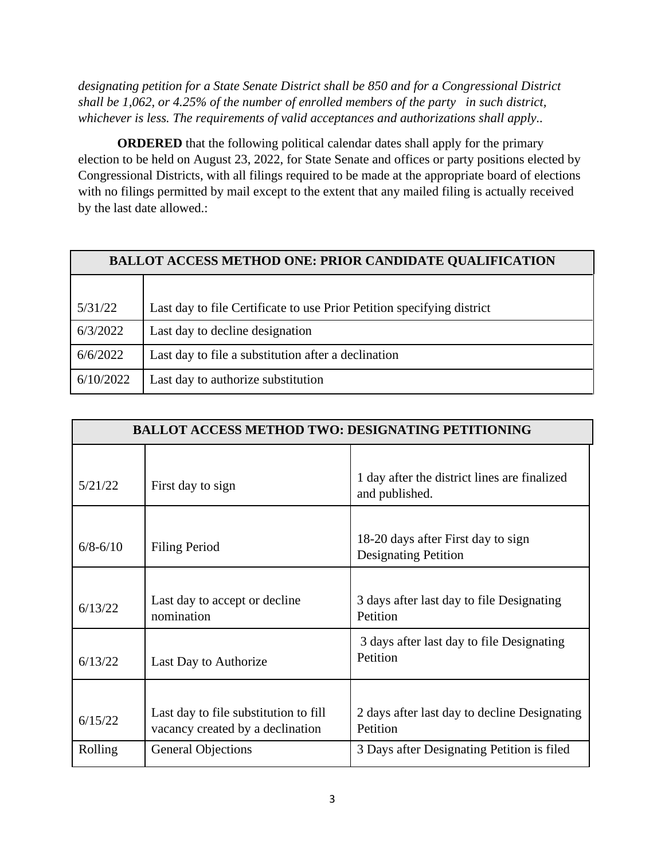*designating petition for a State Senate District shall be 850 and for a Congressional District shall be 1,062, or 4.25% of the number of enrolled members of the party in such district, whichever is less. The requirements of valid acceptances and authorizations shall apply..*

**ORDERED** that the following political calendar dates shall apply for the primary election to be held on August 23, 2022, for State Senate and offices or party positions elected by Congressional Districts, with all filings required to be made at the appropriate board of elections with no filings permitted by mail except to the extent that any mailed filing is actually received by the last date allowed.:

| <b>BALLOT ACCESS METHOD ONE: PRIOR CANDIDATE QUALIFICATION</b> |                                                                        |  |  |
|----------------------------------------------------------------|------------------------------------------------------------------------|--|--|
|                                                                |                                                                        |  |  |
| 5/31/22                                                        | Last day to file Certificate to use Prior Petition specifying district |  |  |
| 6/3/2022                                                       | Last day to decline designation                                        |  |  |
| 6/6/2022                                                       | Last day to file a substitution after a declination                    |  |  |
| 6/10/2022                                                      | Last day to authorize substitution                                     |  |  |

| <b>BALLOT ACCESS METHOD TWO: DESIGNATING PETITIONING</b> |                                                                           |                                                                   |  |  |
|----------------------------------------------------------|---------------------------------------------------------------------------|-------------------------------------------------------------------|--|--|
| 5/21/22                                                  | First day to sign                                                         | 1 day after the district lines are finalized<br>and published.    |  |  |
| $6/8 - 6/10$                                             | <b>Filing Period</b>                                                      | 18-20 days after First day to sign<br><b>Designating Petition</b> |  |  |
| 6/13/22                                                  | Last day to accept or decline<br>nomination                               | 3 days after last day to file Designating<br>Petition             |  |  |
| 6/13/22                                                  | Last Day to Authorize                                                     | 3 days after last day to file Designating<br>Petition             |  |  |
| 6/15/22<br>Rolling                                       | Last day to file substitution to fill<br>vacancy created by a declination | 2 days after last day to decline Designating<br>Petition          |  |  |
|                                                          | <b>General Objections</b>                                                 | 3 Days after Designating Petition is filed                        |  |  |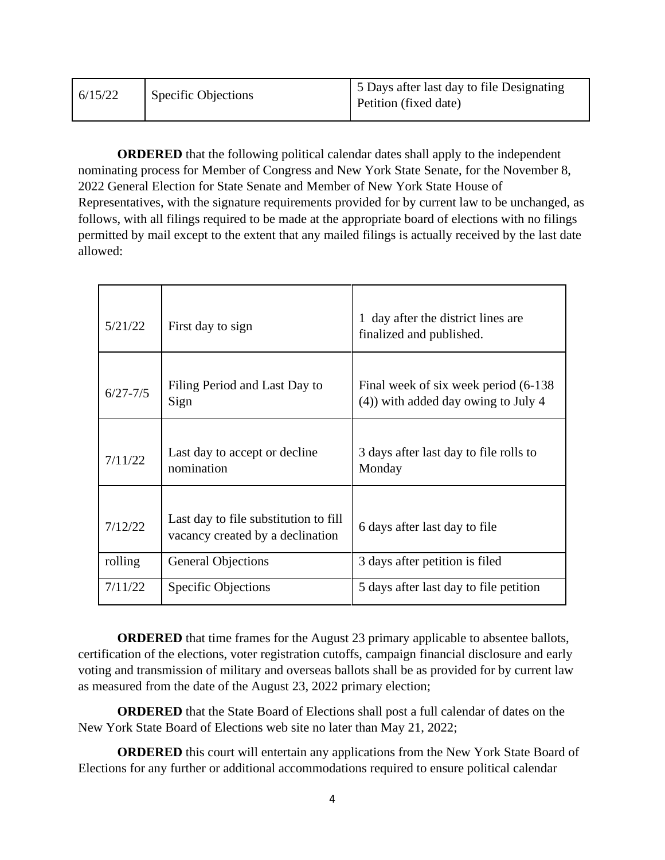| 6/15/22 | <b>Specific Objections</b> | 5 Days after last day to file Designating<br>Petition (fixed date) |
|---------|----------------------------|--------------------------------------------------------------------|
|         |                            |                                                                    |

**ORDERED** that the following political calendar dates shall apply to the independent nominating process for Member of Congress and New York State Senate, for the November 8, 2022 General Election for State Senate and Member of New York State House of Representatives, with the signature requirements provided for by current law to be unchanged, as follows, with all filings required to be made at the appropriate board of elections with no filings permitted by mail except to the extent that any mailed filings is actually received by the last date allowed:

| 5/21/22      | First day to sign                                                         | day after the district lines are<br>finalized and published.                    |
|--------------|---------------------------------------------------------------------------|---------------------------------------------------------------------------------|
| $6/27 - 7/5$ | Filing Period and Last Day to<br>Sign                                     | Final week of six week period (6-138)<br>$(4)$ ) with added day owing to July 4 |
| 7/11/22      | Last day to accept or decline<br>nomination                               | 3 days after last day to file rolls to<br>Monday                                |
| 7/12/22      | Last day to file substitution to fill<br>vacancy created by a declination | 6 days after last day to file                                                   |
| rolling      | <b>General Objections</b>                                                 | 3 days after petition is filed                                                  |
| 7/11/22      | <b>Specific Objections</b>                                                | 5 days after last day to file petition                                          |

**ORDERED** that time frames for the August 23 primary applicable to absentee ballots, certification of the elections, voter registration cutoffs, campaign financial disclosure and early voting and transmission of military and overseas ballots shall be as provided for by current law as measured from the date of the August 23, 2022 primary election;

**ORDERED** that the State Board of Elections shall post a full calendar of dates on the New York State Board of Elections web site no later than May 21, 2022;

**ORDERED** this court will entertain any applications from the New York State Board of Elections for any further or additional accommodations required to ensure political calendar